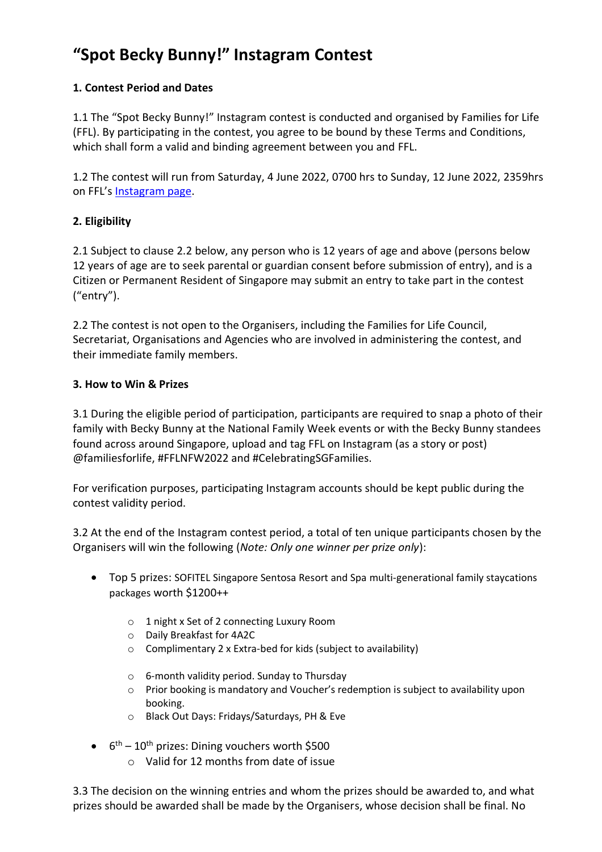# **"Spot Becky Bunny!" Instagram Contest**

# **1. Contest Period and Dates**

1.1 The "Spot Becky Bunny!" Instagram contest is conducted and organised by Families for Life (FFL). By participating in the contest, you agree to be bound by these Terms and Conditions, which shall form a valid and binding agreement between you and FFL.

1.2 The contest will run from Saturday, 4 June 2022, 0700 hrs to Sunday, 12 June 2022, 2359hrs on FFL's [Instagram page.](https://www.instagram.com/familiesforlife/?hl=en)

## **2. Eligibility**

2.1 Subject to clause 2.2 below, any person who is 12 years of age and above (persons below 12 years of age are to seek parental or guardian consent before submission of entry), and is a Citizen or Permanent Resident of Singapore may submit an entry to take part in the contest ("entry").

2.2 The contest is not open to the Organisers, including the Families for Life Council, Secretariat, Organisations and Agencies who are involved in administering the contest, and their immediate family members.

#### **3. How to Win & Prizes**

3.1 During the eligible period of participation, participants are required to snap a photo of their family with Becky Bunny at the National Family Week events or with the Becky Bunny standees found across around Singapore, upload and tag FFL on Instagram (as a story or post) @familiesforlife, #FFLNFW2022 and #CelebratingSGFamilies.

For verification purposes, participating Instagram accounts should be kept public during the contest validity period.

3.2 At the end of the Instagram contest period, a total of ten unique participants chosen by the Organisers will win the following (*Note: Only one winner per prize only*):

- Top 5 prizes: SOFITEL Singapore Sentosa Resort and Spa multi-generational family staycations packages worth \$1200++
	- o 1 night x Set of 2 connecting Luxury Room
	- o Daily Breakfast for 4A2C
	- o Complimentary 2 x Extra-bed for kids (subject to availability)
	- o 6-month validity period. Sunday to Thursday
	- o Prior booking is mandatory and Voucher's redemption is subject to availability upon booking.
	- o Black Out Days: Fridays/Saturdays, PH & Eve
- $\bullet$  6<sup>th</sup> 10<sup>th</sup> prizes: Dining vouchers worth \$500
	- o Valid for 12 months from date of issue

3.3 The decision on the winning entries and whom the prizes should be awarded to, and what prizes should be awarded shall be made by the Organisers, whose decision shall be final. No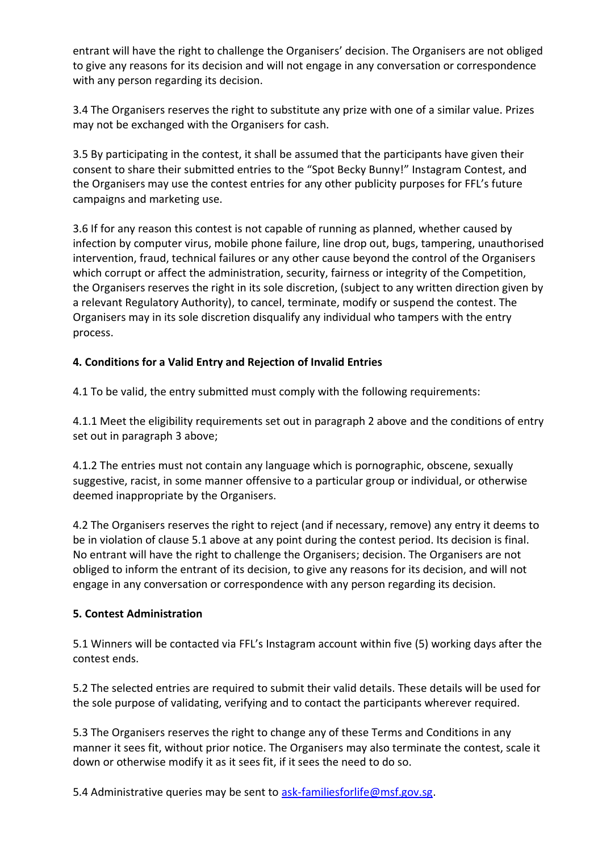entrant will have the right to challenge the Organisers' decision. The Organisers are not obliged to give any reasons for its decision and will not engage in any conversation or correspondence with any person regarding its decision.

3.4 The Organisers reserves the right to substitute any prize with one of a similar value. Prizes may not be exchanged with the Organisers for cash.

3.5 By participating in the contest, it shall be assumed that the participants have given their consent to share their submitted entries to the "Spot Becky Bunny!" Instagram Contest, and the Organisers may use the contest entries for any other publicity purposes for FFL's future campaigns and marketing use.

3.6 If for any reason this contest is not capable of running as planned, whether caused by infection by computer virus, mobile phone failure, line drop out, bugs, tampering, unauthorised intervention, fraud, technical failures or any other cause beyond the control of the Organisers which corrupt or affect the administration, security, fairness or integrity of the Competition, the Organisers reserves the right in its sole discretion, (subject to any written direction given by a relevant Regulatory Authority), to cancel, terminate, modify or suspend the contest. The Organisers may in its sole discretion disqualify any individual who tampers with the entry process.

## **4. Conditions for a Valid Entry and Rejection of Invalid Entries**

4.1 To be valid, the entry submitted must comply with the following requirements:

4.1.1 Meet the eligibility requirements set out in paragraph 2 above and the conditions of entry set out in paragraph 3 above;

4.1.2 The entries must not contain any language which is pornographic, obscene, sexually suggestive, racist, in some manner offensive to a particular group or individual, or otherwise deemed inappropriate by the Organisers.

4.2 The Organisers reserves the right to reject (and if necessary, remove) any entry it deems to be in violation of clause 5.1 above at any point during the contest period. Its decision is final. No entrant will have the right to challenge the Organisers; decision. The Organisers are not obliged to inform the entrant of its decision, to give any reasons for its decision, and will not engage in any conversation or correspondence with any person regarding its decision.

#### **5. Contest Administration**

5.1 Winners will be contacted via FFL's Instagram account within five (5) working days after the contest ends.

5.2 The selected entries are required to submit their valid details. These details will be used for the sole purpose of validating, verifying and to contact the participants wherever required.

5.3 The Organisers reserves the right to change any of these Terms and Conditions in any manner it sees fit, without prior notice. The Organisers may also terminate the contest, scale it down or otherwise modify it as it sees fit, if it sees the need to do so.

5.4 Administrative queries may be sent to [ask-familiesforlife@msf.gov.sg.](mailto:ask-familiesforlife@msf.gov.sg)